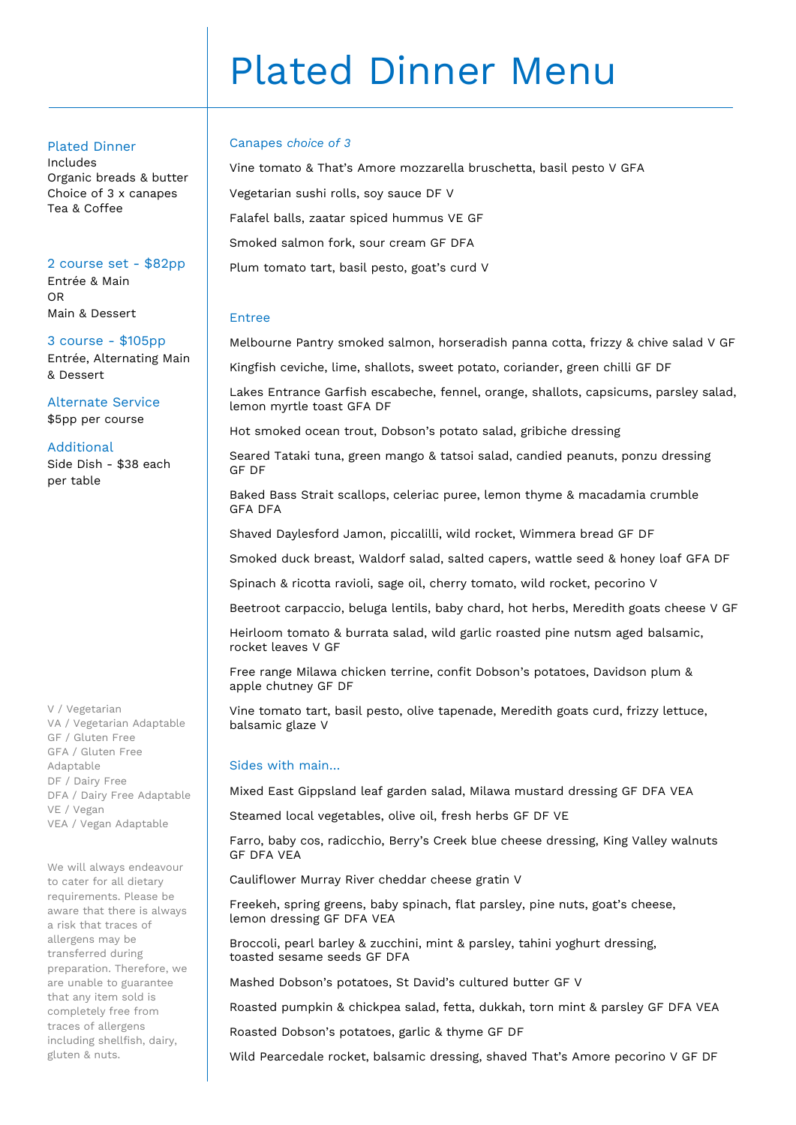# Plated Dinner Menu

### Plated Dinner

Includes Organic breads & butter Choice of 3 x canapes Tea & Coffee

#### 2 course set - \$82pp

Entrée & Main OR Main & Dessert

3 course - \$105pp Entrée, Alternating Main & Dessert

Alternate Service \$5pp per course

### Additional

Side Dish - \$38 each per table

V / Vegetarian VA / Vegetarian Adaptable GF / Gluten Free GFA / Gluten Free Adaptable DF / Dairy Free DFA / Dairy Free Adaptable VE / Vegan VEA / Vegan Adaptable

We will always endeavour to cater for all dietary requirements. Please be aware that there is always a risk that traces of allergens may be transferred during preparation. Therefore, we are unable to guarantee that any item sold is completely free from traces of allergens including shellfish, dairy, gluten & nuts.

### Canapes *choice of 3*

Vine tomato & That's Amore mozzarella bruschetta, basil pesto V GFA Vegetarian sushi rolls, soy sauce DF V Falafel balls, zaatar spiced hummus VE GF Smoked salmon fork, sour cream GF DFA Plum tomato tart, basil pesto, goat's curd V

### Entree

Melbourne Pantry smoked salmon, horseradish panna cotta, frizzy & chive salad V GF

Kingfish ceviche, lime, shallots, sweet potato, coriander, green chilli GF DF

Lakes Entrance Garfish escabeche, fennel, orange, shallots, capsicums, parsley salad, lemon myrtle toast GFA DF

Hot smoked ocean trout, Dobson's potato salad, gribiche dressing

Seared Tataki tuna, green mango & tatsoi salad, candied peanuts, ponzu dressing GF DF

Baked Bass Strait scallops, celeriac puree, lemon thyme & macadamia crumble GFA DFA

Shaved Daylesford Jamon, piccalilli, wild rocket, Wimmera bread GF DF

Smoked duck breast, Waldorf salad, salted capers, wattle seed & honey loaf GFA DF

Spinach & ricotta ravioli, sage oil, cherry tomato, wild rocket, pecorino V

Beetroot carpaccio, beluga lentils, baby chard, hot herbs, Meredith goats cheese V GF

Heirloom tomato & burrata salad, wild garlic roasted pine nutsm aged balsamic, rocket leaves V GF

Free range Milawa chicken terrine, confit Dobson's potatoes, Davidson plum & apple chutney GF DF

Vine tomato tart, basil pesto, olive tapenade, Meredith goats curd, frizzy lettuce, balsamic glaze V

## Sides with main…

Mixed East Gippsland leaf garden salad, Milawa mustard dressing GF DFA VEA

Steamed local vegetables, olive oil, fresh herbs GF DF VE

Farro, baby cos, radicchio, Berry's Creek blue cheese dressing, King Valley walnuts GF DFA VEA

Cauliflower Murray River cheddar cheese gratin V

Freekeh, spring greens, baby spinach, flat parsley, pine nuts, goat's cheese, lemon dressing GF DFA VEA

Broccoli, pearl barley & zucchini, mint & parsley, tahini yoghurt dressing, toasted sesame seeds GF DFA

Mashed Dobson's potatoes, St David's cultured butter GF V

Roasted pumpkin & chickpea salad, fetta, dukkah, torn mint & parsley GF DFA VEA

Roasted Dobson's potatoes, garlic & thyme GF DF

Wild Pearcedale rocket, balsamic dressing, shaved That's Amore pecorino V GF DF